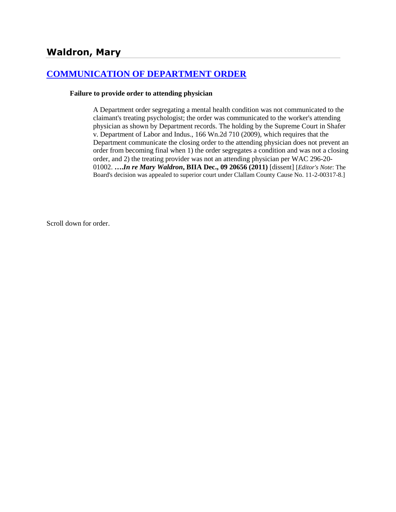# **Waldron, Mary**

# **[COMMUNICATION OF DEPARTMENT ORDER](http://www.biia.wa.gov/SDSubjectIndex.html#COMMUNICATION_OF_DEPARTMENT_ORDER)**

#### **Failure to provide order to attending physician**

A Department order segregating a mental health condition was not communicated to the claimant's treating psychologist; the order was communicated to the worker's attending physician as shown by Department records. The holding by the Supreme Court in Shafer v. Department of Labor and Indus., 166 Wn.2d 710 (2009), which requires that the Department communicate the closing order to the attending physician does not prevent an order from becoming final when 1) the order segregates a condition and was not a closing order, and 2) the treating provider was not an attending physician per WAC 296-20- 01002. **….***In re Mary Waldron***, BIIA Dec., 09 20656 (2011)** [dissent] [*Editor's Note*: The Board's decision was appealed to superior court under Clallam County Cause No. 11-2-00317-8.]

Scroll down for order.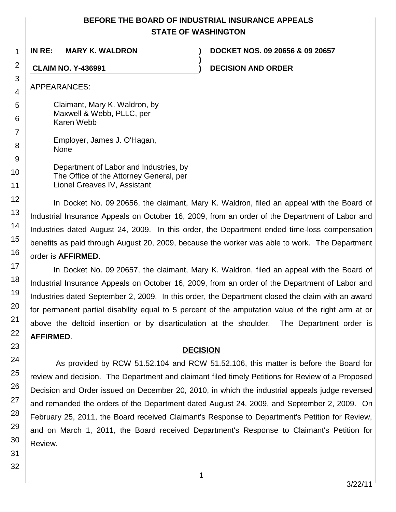# **BEFORE THE BOARD OF INDUSTRIAL INSURANCE APPEALS STATE OF WASHINGTON**

**)**

**IN RE: MARY K. WALDRON ) DOCKET NOS. 09 20656 & 09 20657**

**CLAIM NO. Y-436991 ) DECISION AND ORDER**

APPEARANCES:

Claimant, Mary K. Waldron, by Maxwell & Webb, PLLC, per Karen Webb

> Employer, James J. O'Hagan, None

Department of Labor and Industries, by The Office of the Attorney General, per Lionel Greaves IV, Assistant

In Docket No. 09 20656, the claimant, Mary K. Waldron, filed an appeal with the Board of Industrial Insurance Appeals on October 16, 2009, from an order of the Department of Labor and Industries dated August 24, 2009. In this order, the Department ended time-loss compensation benefits as paid through August 20, 2009, because the worker was able to work. The Department order is **AFFIRMED**.

In Docket No. 09 20657, the claimant, Mary K. Waldron, filed an appeal with the Board of Industrial Insurance Appeals on October 16, 2009, from an order of the Department of Labor and Industries dated September 2, 2009. In this order, the Department closed the claim with an award for permanent partial disability equal to 5 percent of the amputation value of the right arm at or above the deltoid insertion or by disarticulation at the shoulder. The Department order is **AFFIRMED**.

# **DECISION**

As provided by RCW 51.52.104 and RCW 51.52.106, this matter is before the Board for review and decision. The Department and claimant filed timely Petitions for Review of a Proposed Decision and Order issued on December 20, 2010, in which the industrial appeals judge reversed and remanded the orders of the Department dated August 24, 2009, and September 2, 2009. On February 25, 2011, the Board received Claimant's Response to Department's Petition for Review, and on March 1, 2011, the Board received Department's Response to Claimant's Petition for Review.

1

2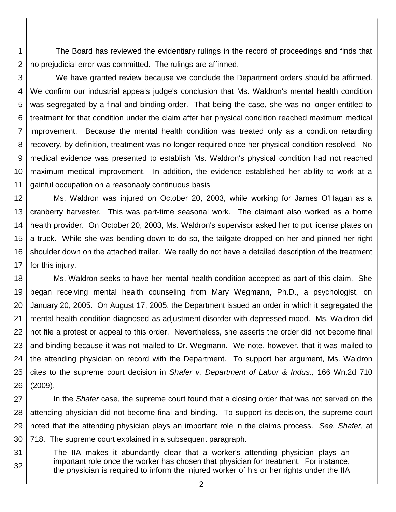1 2 The Board has reviewed the evidentiary rulings in the record of proceedings and finds that no prejudicial error was committed. The rulings are affirmed.

3 4 5 6 7 8 9 10 11 We have granted review because we conclude the Department orders should be affirmed. We confirm our industrial appeals judge's conclusion that Ms. Waldron's mental health condition was segregated by a final and binding order. That being the case, she was no longer entitled to treatment for that condition under the claim after her physical condition reached maximum medical improvement. Because the mental health condition was treated only as a condition retarding recovery, by definition, treatment was no longer required once her physical condition resolved. No medical evidence was presented to establish Ms. Waldron's physical condition had not reached maximum medical improvement. In addition, the evidence established her ability to work at a gainful occupation on a reasonably continuous basis

12 13 14 15 16 17 Ms. Waldron was injured on October 20, 2003, while working for James O'Hagan as a cranberry harvester. This was part-time seasonal work. The claimant also worked as a home health provider. On October 20, 2003, Ms. Waldron's supervisor asked her to put license plates on a truck. While she was bending down to do so, the tailgate dropped on her and pinned her right shoulder down on the attached trailer. We really do not have a detailed description of the treatment for this injury.

18 19 20 21 22 23 24 25 26 Ms. Waldron seeks to have her mental health condition accepted as part of this claim. She began receiving mental health counseling from Mary Wegmann, Ph.D., a psychologist, on January 20, 2005. On August 17, 2005, the Department issued an order in which it segregated the mental health condition diagnosed as adjustment disorder with depressed mood. Ms. Waldron did not file a protest or appeal to this order. Nevertheless, she asserts the order did not become final and binding because it was not mailed to Dr. Wegmann. We note, however, that it was mailed to the attending physician on record with the Department. To support her argument, Ms. Waldron cites to the supreme court decision in *Shafer v. Department of Labor & Indus.,* 166 Wn.2d 710 (2009).

27 28 29 30 In the *Shafer* case, the supreme court found that a closing order that was not served on the attending physician did not become final and binding. To support its decision, the supreme court noted that the attending physician plays an important role in the claims process. *See, Shafer,* at 718. The supreme court explained in a subsequent paragraph.

31 32 The IIA makes it abundantly clear that a worker's attending physician plays an important role once the worker has chosen that physician for treatment. For instance, the physician is required to inform the injured worker of his or her rights under the IIA

2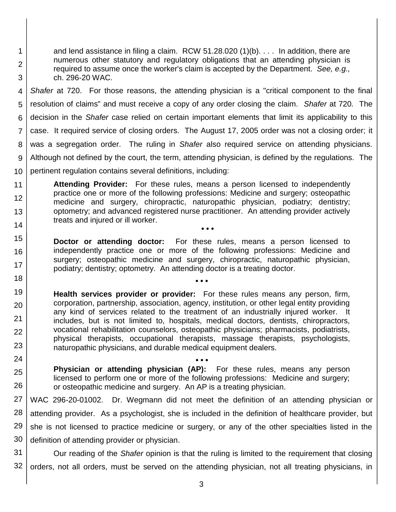and lend assistance in filing a claim. RCW 51.28.020 (1)(b). . . . In addition, there are numerous other statutory and regulatory obligations that an attending physician is required to assume once the worker's claim is accepted by the Department. *See, e.g.,* ch. 296-20 WAC.

1

2

3

18

4 5 6 7 8 9 10 *Shafer* at 720. For those reasons, the attending physician is a "critical component to the final resolution of claims" and must receive a copy of any order closing the claim. *Shafer* at 720*.* The decision in the *Shafer* case relied on certain important elements that limit its applicability to this case. It required service of closing orders. The August 17, 2005 order was not a closing order; it was a segregation order. The ruling in *Shafer* also required service on attending physicians. Although not defined by the court, the term, attending physician, is defined by the regulations. The pertinent regulation contains several definitions, including:

11 12 13 14 **Attending Provider:** For these rules, means a person licensed to independently practice one or more of the following professions: Medicine and surgery; osteopathic medicine and surgery, chiropractic, naturopathic physician, podiatry; dentistry; optometry; and advanced registered nurse practitioner. An attending provider actively treats and injured or ill worker. **• • •**

15 16 17 **Doctor or attending doctor:** For these rules, means a person licensed to independently practice one or more of the following professions: Medicine and surgery; osteopathic medicine and surgery, chiropractic, naturopathic physician, podiatry; dentistry; optometry. An attending doctor is a treating doctor.

**• • •**

- 19 20 21 22 23 **Health services provider or provider:** For these rules means any person, firm, corporation, partnership, association, agency, institution, or other legal entity providing any kind of services related to the treatment of an industrially injured worker. It includes, but is not limited to, hospitals, medical doctors, dentists, chiropractors, vocational rehabilitation counselors, osteopathic physicians; pharmacists, podiatrists, physical therapists, occupational therapists, massage therapists, psychologists, naturopathic physicians, and durable medical equipment dealers.
- 24 25 26 **• • • Physician or attending physician (AP):** For these rules, means any person licensed to perform one or more of the following professions: Medicine and surgery; or osteopathic medicine and surgery. An AP is a treating physician.

27 28 29 30 WAC 296-20-01002. Dr. Wegmann did not meet the definition of an attending physician or attending provider. As a psychologist, she is included in the definition of healthcare provider, but she is not licensed to practice medicine or surgery, or any of the other specialties listed in the definition of attending provider or physician.

31 32 Our reading of the *Shafer* opinion is that the ruling is limited to the requirement that closing orders, not all orders, must be served on the attending physician, not all treating physicians, in

3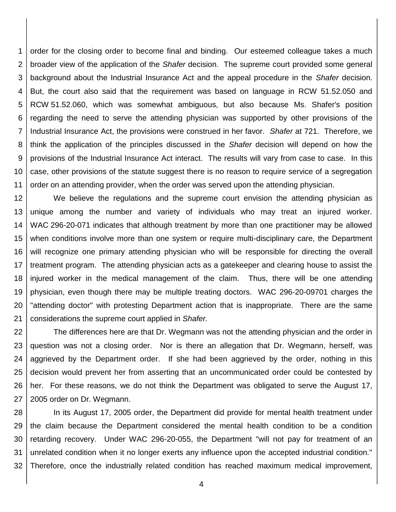1 2 3 4 5 6 7 8 9 10 11 order for the closing order to become final and binding. Our esteemed colleague takes a much broader view of the application of the *Shafer* decision. The supreme court provided some general background about the Industrial Insurance Act and the appeal procedure in the *Shafer* decision. But, the court also said that the requirement was based on language in RCW 51.52.050 and RCW 51.52.060, which was somewhat ambiguous, but also because Ms. Shafer's position regarding the need to serve the attending physician was supported by other provisions of the Industrial Insurance Act, the provisions were construed in her favor. *Shafer* at 721. Therefore, we think the application of the principles discussed in the *Shafer* decision will depend on how the provisions of the Industrial Insurance Act interact. The results will vary from case to case. In this case, other provisions of the statute suggest there is no reason to require service of a segregation order on an attending provider, when the order was served upon the attending physician.

12 13 14 15 16 17 18 19 20 21 We believe the regulations and the supreme court envision the attending physician as unique among the number and variety of individuals who may treat an injured worker. WAC 296-20-071 indicates that although treatment by more than one practitioner may be allowed when conditions involve more than one system or require multi-disciplinary care, the Department will recognize one primary attending physician who will be responsible for directing the overall treatment program. The attending physician acts as a gatekeeper and clearing house to assist the injured worker in the medical management of the claim. Thus, there will be one attending physician, even though there may be multiple treating doctors. WAC 296-20-09701 charges the "attending doctor" with protesting Department action that is inappropriate. There are the same considerations the supreme court applied in *Shafer.* 

22 23 24 25 26 27 The differences here are that Dr. Wegmann was not the attending physician and the order in question was not a closing order. Nor is there an allegation that Dr. Wegmann, herself, was aggrieved by the Department order. If she had been aggrieved by the order, nothing in this decision would prevent her from asserting that an uncommunicated order could be contested by her. For these reasons, we do not think the Department was obligated to serve the August 17, 2005 order on Dr. Wegmann.

28 29 30 31 32 In its August 17, 2005 order, the Department did provide for mental health treatment under the claim because the Department considered the mental health condition to be a condition retarding recovery. Under WAC 296-20-055, the Department "will not pay for treatment of an unrelated condition when it no longer exerts any influence upon the accepted industrial condition." Therefore, once the industrially related condition has reached maximum medical improvement,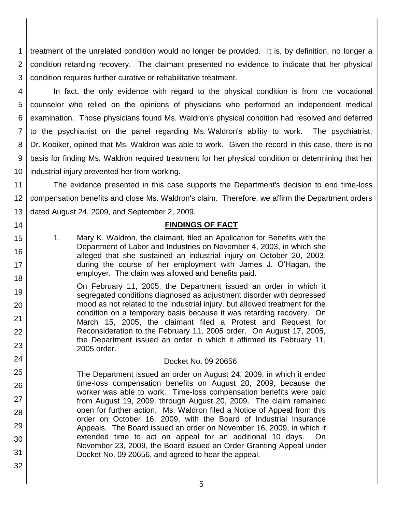1 2 3 treatment of the unrelated condition would no longer be provided. It is, by definition, no longer a condition retarding recovery. The claimant presented no evidence to indicate that her physical condition requires further curative or rehabilitative treatment.

4 5 6 7 8 9 10 In fact, the only evidence with regard to the physical condition is from the vocational counselor who relied on the opinions of physicians who performed an independent medical examination. Those physicians found Ms. Waldron's physical condition had resolved and deferred to the psychiatrist on the panel regarding Ms. Waldron's ability to work. The psychiatrist, Dr. Kooiker, opined that Ms. Waldron was able to work. Given the record in this case, there is no basis for finding Ms. Waldron required treatment for her physical condition or determining that her industrial injury prevented her from working.

11 12 13 The evidence presented in this case supports the Department's decision to end time-loss compensation benefits and close Ms. Waldron's claim. Therefore, we affirm the Department orders dated August 24, 2009, and September 2, 2009.

## **FINDINGS OF FACT**

1. Mary K. Waldron, the claimant, filed an Application for Benefits with the Department of Labor and Industries on November 4, 2003, in which she alleged that she sustained an industrial injury on October 20, 2003, during the course of her employment with James J. O'Hagan, the employer. The claim was allowed and benefits paid.

14

15

16

17

24

25

26

27

28

29

30

31

32

18 19 20 21 22 23 On February 11, 2005, the Department issued an order in which it segregated conditions diagnosed as adjustment disorder with depressed mood as not related to the industrial injury, but allowed treatment for the condition on a temporary basis because it was retarding recovery. On March 15, 2005, the claimant filed a Protest and Request for Reconsideration to the February 11, 2005 order. On August 17, 2005, the Department issued an order in which it affirmed its February 11, 2005 order.

#### Docket No. 09 20656

- The Department issued an order on August 24, 2009, in which it ended time-loss compensation benefits on August 20, 2009, because the worker was able to work. Time-loss compensation benefits were paid from August 19, 2009, through August 20, 2009. The claim remained open for further action. Ms. Waldron filed a Notice of Appeal from this order on October 16, 2009, with the Board of Industrial Insurance Appeals. The Board issued an order on November 16, 2009, in which it extended time to act on appeal for an additional 10 days. On November 23, 2009, the Board issued an Order Granting Appeal under Docket No. 09 20656, and agreed to hear the appeal.
	- 5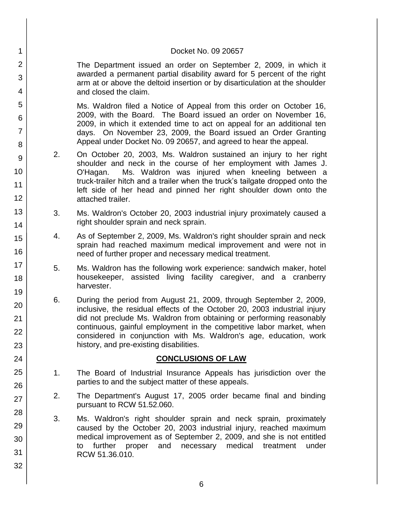#### Docket No. 09 20657

The Department issued an order on September 2, 2009, in which it awarded a permanent partial disability award for 5 percent of the right arm at or above the deltoid insertion or by disarticulation at the shoulder and closed the claim.

1

2

3

4

5

6

7

8

9

10

11

12

13

14

15

16

17

18

19

20

21 22

23

24

25

26

27

28

29

30

31

32

Ms. Waldron filed a Notice of Appeal from this order on October 16, 2009, with the Board. The Board issued an order on November 16, 2009, in which it extended time to act on appeal for an additional ten days. On November 23, 2009, the Board issued an Order Granting Appeal under Docket No. 09 20657, and agreed to hear the appeal.

- 2. On October 20, 2003, Ms. Waldron sustained an injury to her right shoulder and neck in the course of her employment with James J. O'Hagan. Ms. Waldron was injured when kneeling between a truck-trailer hitch and a trailer when the truck's tailgate dropped onto the left side of her head and pinned her right shoulder down onto the attached trailer.
- 3. Ms. Waldron's October 20, 2003 industrial injury proximately caused a right shoulder sprain and neck sprain.
- 4. As of September 2, 2009, Ms. Waldron's right shoulder sprain and neck sprain had reached maximum medical improvement and were not in need of further proper and necessary medical treatment.
- 5. Ms. Waldron has the following work experience: sandwich maker, hotel housekeeper, assisted living facility caregiver, and a cranberry harvester.
- 6. During the period from August 21, 2009, through September 2, 2009, inclusive, the residual effects of the October 20, 2003 industrial injury did not preclude Ms. Waldron from obtaining or performing reasonably continuous, gainful employment in the competitive labor market, when considered in conjunction with Ms. Waldron's age, education, work history, and pre-existing disabilities.

### **CONCLUSIONS OF LAW**

- 1. The Board of Industrial Insurance Appeals has jurisdiction over the parties to and the subject matter of these appeals.
- 2. The Department's August 17, 2005 order became final and binding pursuant to RCW 51.52.060.
- 3. Ms. Waldron's right shoulder sprain and neck sprain, proximately caused by the October 20, 2003 industrial injury, reached maximum medical improvement as of September 2, 2009, and she is not entitled to further proper and necessary medical treatment under RCW 51.36.010.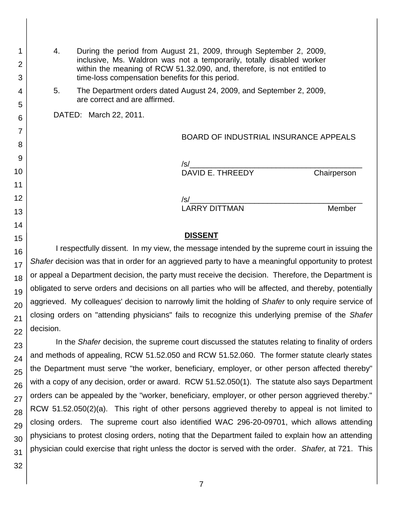4. During the period from August 21, 2009, through September 2, 2009, inclusive, Ms. Waldron was not a temporarily, totally disabled worker within the meaning of RCW 51.32.090, and, therefore, is not entitled to time-loss compensation benefits for this period.

5. The Department orders dated August 24, 2009, and September 2, 2009, are correct and are affirmed.

DATED: March 22, 2011.

BOARD OF INDUSTRIAL INSURANCE APPEALS

/s/\_\_\_\_\_\_\_\_\_\_\_\_\_\_\_\_\_\_\_\_\_\_\_\_\_\_\_\_\_\_\_\_\_\_\_\_\_\_\_\_ DAVID E. THREEDY Chairperson

/s/\_\_\_\_\_\_\_\_\_\_\_\_\_\_\_\_\_\_\_\_\_\_\_\_\_\_\_\_\_\_\_\_\_\_\_\_\_\_\_\_ LARRY DITTMAN Member

#### **DISSENT**

I respectfully dissent. In my view, the message intended by the supreme court in issuing the *Shafer* decision was that in order for an aggrieved party to have a meaningful opportunity to protest or appeal a Department decision, the party must receive the decision. Therefore, the Department is obligated to serve orders and decisions on all parties who will be affected, and thereby, potentially aggrieved. My colleagues' decision to narrowly limit the holding of *Shafer* to only require service of closing orders on "attending physicians" fails to recognize this underlying premise of the *Shafer* decision.

In the *Shafer* decision, the supreme court discussed the statutes relating to finality of orders and methods of appealing, RCW 51.52.050 and RCW 51.52.060. The former statute clearly states the Department must serve "the worker, beneficiary, employer, or other person affected thereby" with a copy of any decision, order or award. RCW 51.52.050(1). The statute also says Department orders can be appealed by the "worker, beneficiary, employer, or other person aggrieved thereby." RCW 51.52.050(2)(a). This right of other persons aggrieved thereby to appeal is not limited to closing orders. The supreme court also identified WAC 296-20-09701, which allows attending physicians to protest closing orders, noting that the Department failed to explain how an attending physician could exercise that right unless the doctor is served with the order. *Shafer,* at 721. This